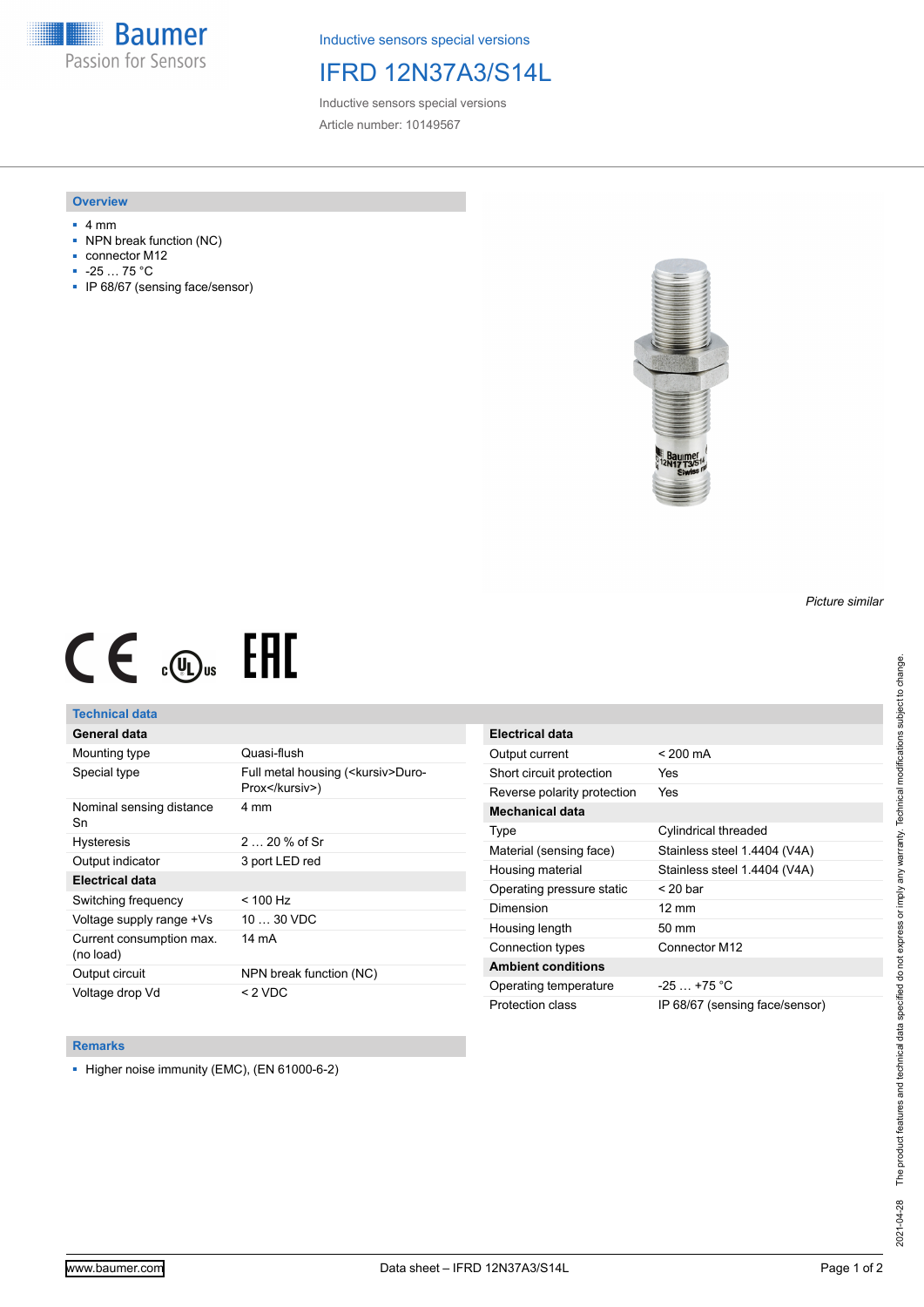**Baumer** Passion for Sensors

Inductive sensors special versions

# IFRD 12N37A3/S14L

Inductive sensors special versions Article number: 10149567

### **Overview**

- 4 mm
- NPN break function (NC)
- connector M12
- -25 … 75 °C
- IP 68/67 (sensing face/sensor)



# $CE \mathcal{L}$  (Dus FRE

## **Technical data**

## **General data**

| Mounting type                         | Quasi-flush                                            |
|---------------------------------------|--------------------------------------------------------|
| Special type                          | Full metal housing ( <kursiv>Duro-<br/>Prox</kursiv> ) |
| Nominal sensing distance<br>Sn        | 4 mm                                                   |
| <b>Hysteresis</b>                     | $220%$ of Sr                                           |
| Output indicator                      | 3 port LED red                                         |
| <b>Electrical data</b>                |                                                        |
| Switching frequency                   | $< 100$ Hz                                             |
| Voltage supply range +Vs              | $1030$ VDC                                             |
| Current consumption max.<br>(no load) | 14 mA                                                  |
| Output circuit                        | NPN break function (NC)                                |
| Voltage drop Vd                       | $<$ 2 VDC                                              |

| Electrical data             |                                |
|-----------------------------|--------------------------------|
| Output current              | $< 200 \text{ mA}$             |
| Short circuit protection    | Yes                            |
| Reverse polarity protection | Yes                            |
| Mechanical data             |                                |
| Type                        | Cylindrical threaded           |
| Material (sensing face)     | Stainless steel 1.4404 (V4A)   |
| Housing material            | Stainless steel 1.4404 (V4A)   |
| Operating pressure static   | $<$ 20 bar                     |
| Dimension                   | $12 \text{ mm}$                |
| Housing length              | 50 mm                          |
| Connection types            | Connector M12                  |
| <b>Ambient conditions</b>   |                                |
| Operating temperature       | $-25$ $+75$ °C                 |
| Protection class            | IP 68/67 (sensing face/sensor) |

#### **Remarks**

■ Higher noise immunity (EMC), (EN 61000-6-2)

*Picture similar*